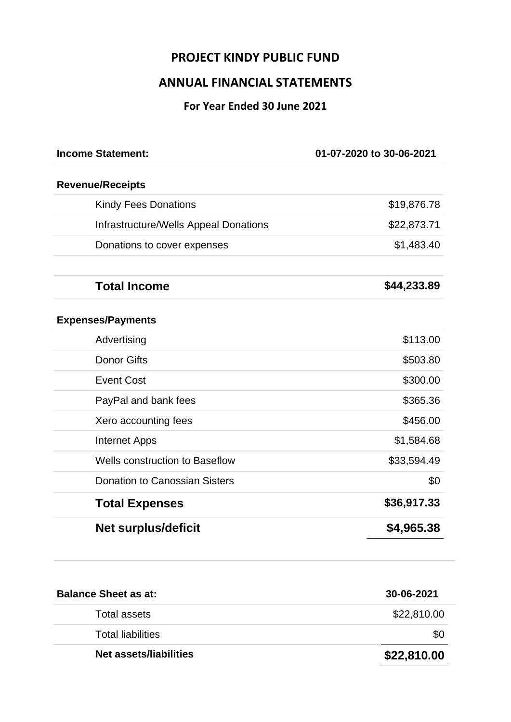# **PROJECT KINDY PUBLIC FUND**

# **ANNUAL FINANCIAL STATEMENTS**

## **For Year Ended 30 June 2021**

| <b>Income Statement:</b>              | 01-07-2020 to 30-06-2021 |
|---------------------------------------|--------------------------|
| <b>Revenue/Receipts</b>               |                          |
| <b>Kindy Fees Donations</b>           | \$19,876.78              |
| Infrastructure/Wells Appeal Donations | \$22,873.71              |
| Donations to cover expenses           | \$1,483.40               |
| <b>Total Income</b>                   | \$44,233.89              |
| <b>Expenses/Payments</b>              |                          |
| Advertising                           | \$113.00                 |
| <b>Donor Gifts</b>                    | \$503.80                 |
| <b>Event Cost</b>                     | \$300.00                 |
| PayPal and bank fees                  | \$365.36                 |
| Xero accounting fees                  | \$456.00                 |
| <b>Internet Apps</b>                  | \$1,584.68               |
| <b>Wells construction to Baseflow</b> | \$33,594.49              |
| <b>Donation to Canossian Sisters</b>  | \$0                      |
| <b>Total Expenses</b>                 | \$36,917.33              |
| Net surplus/deficit                   | \$4,965.38               |

| <b>Balance Sheet as at:</b> | 30-06-2021  |
|-----------------------------|-------------|
| Total assets                | \$22,810.00 |
| <b>Total liabilities</b>    | \$0         |
| Net assets/liabilities      | \$22,810.00 |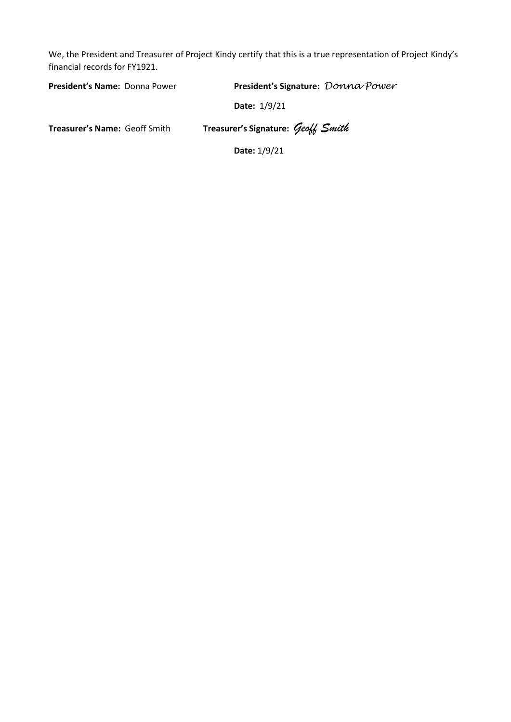We, the President and Treasurer of Project Kindy certify that this is a true representation of Project Kindy's financial records for FY1921.

| <b>President's Name: Donna Power</b> | President's Signature: Donna Power |
|--------------------------------------|------------------------------------|
|                                      | Date: 1/9/21                       |
| <b>Treasurer's Name: Geoff Smith</b> | Treasurer's Signature: Geoff Smith |
|                                      | Date: 1/9/21                       |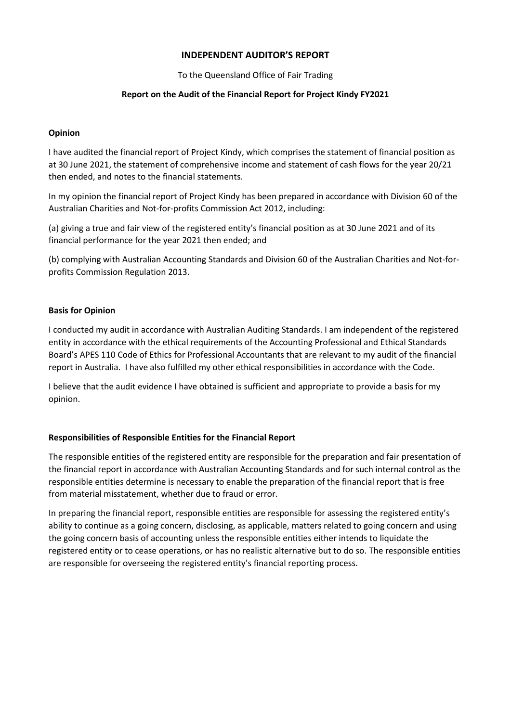### **INDEPENDENT AUDITOR'S REPORT**

To the Queensland Office of Fair Trading

#### **Report on the Audit of the Financial Report for Project Kindy FY2021**

#### **Opinion**

I have audited the financial report of Project Kindy, which comprises the statement of financial position as at 30 June 2021, the statement of comprehensive income and statement of cash flows for the year 20/21 then ended, and notes to the financial statements.

In my opinion the financial report of Project Kindy has been prepared in accordance with Division 60 of the Australian Charities and Not-for-profits Commission Act 2012, including:

(a) giving a true and fair view of the registered entity's financial position as at 30 June 2021 and of its financial performance for the year 2021 then ended; and

(b) complying with Australian Accounting Standards and Division 60 of the Australian Charities and Not-forprofits Commission Regulation 2013.

### **Basis for Opinion**

I conducted my audit in accordance with Australian Auditing Standards. I am independent of the registered entity in accordance with the ethical requirements of the Accounting Professional and Ethical Standards Board's APES 110 Code of Ethics for Professional Accountants that are relevant to my audit of the financial report in Australia. I have also fulfilled my other ethical responsibilities in accordance with the Code.

I believe that the audit evidence I have obtained is sufficient and appropriate to provide a basis for my opinion.

#### **Responsibilities of Responsible Entities for the Financial Report**

The responsible entities of the registered entity are responsible for the preparation and fair presentation of the financial report in accordance with Australian Accounting Standards and for such internal control as the responsible entities determine is necessary to enable the preparation of the financial report that is free from material misstatement, whether due to fraud or error.

In preparing the financial report, responsible entities are responsible for assessing the registered entity's ability to continue as a going concern, disclosing, as applicable, matters related to going concern and using the going concern basis of accounting unless the responsible entities either intends to liquidate the registered entity or to cease operations, or has no realistic alternative but to do so. The responsible entities are responsible for overseeing the registered entity's financial reporting process.